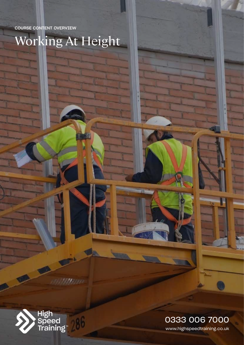COURSE CONTENT OVERVIEW

Working At Height



**HB**(H)

286

www.highspeedtraining.co.uk 0333 006 7000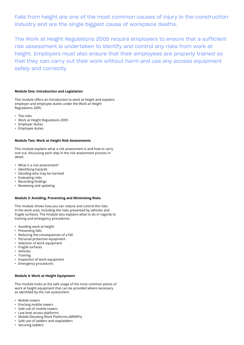Falls from height are one of the most common causes of injury in the construction industry and are the single biggest cause of workplace deaths.

The Work at Height Regulations 2005 require employers to ensure that a sufficient risk assessment is undertaken to identify and control any risks from work at height. Employers must also ensure that their employees are properly trained so that they can carry out their work without harm and use any access equipment safely and correctly.

### **Module One: Introduction and Legislation**

This module offers an introduction to work at height and explains employer and employee duties under the Work at Height Regulations 2005.

- The risks
- Work at Height Regulations 2005
- Employer duties
- Employee duties

## **Module Two: Work at Height Risk Assessments**

This module explains what a risk assessment is and how to carry one out, discussing each step in the risk assessment process in detail.

- What is a risk assessment?
- Identifying hazards
- Deciding who may be harmed
- Evaluating risks
- Recording findings
- Reviewing and updating

#### **Module 3: Avoiding, Preventing and Minimising Risks**

This module shows how you can reduce and control the risks in the work area, including the risks presented by vehicles and fragile surfaces. The module also explains what to do in regards to training and emergency procedures.

- Avoiding work at height
- Preventing falls
- Reducing the consequences of a fall
- Personal protective equipment
- Selection of work equipment
- Fragile surfaces
- Vehicles
- Training
- Inspection of work equipment
- Emergency procedures

## **Module 4: Work at Height Equipment**

This module looks at the safe usage of the most common pieces of work at height equipment that can be provided where necessary as identified by the risk assessment.

- Mobile towers
- Erecting mobile towers
- Safe use of mobile towers
- Low level access platforms
- Mobile Elevating Work Platforms (MEWPs)
- Safe use of ladders and stepladders
- Securing ladders